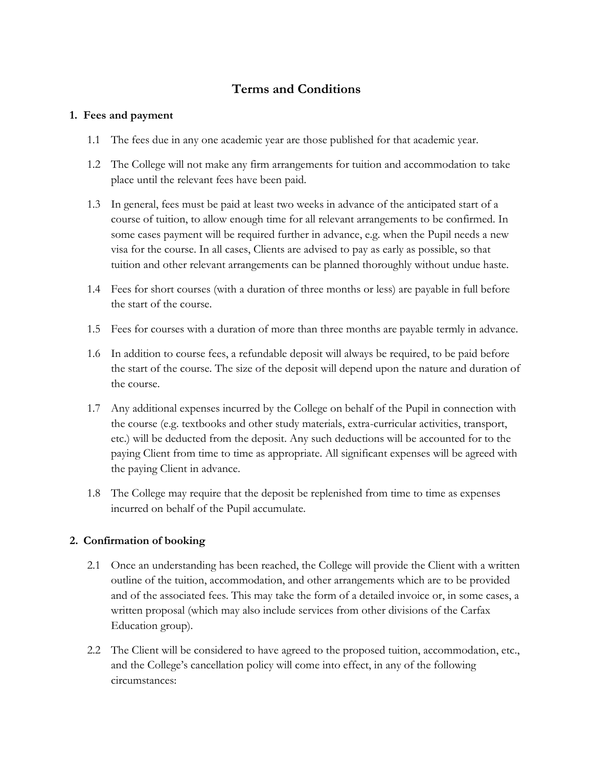# **Terms and Conditions**

#### **1. Fees and payment**

- 1.1 The fees due in any one academic year are those published for that academic year.
- 1.2 The College will not make any firm arrangements for tuition and accommodation to take place until the relevant fees have been paid.
- 1.3 In general, fees must be paid at least two weeks in advance of the anticipated start of a course of tuition, to allow enough time for all relevant arrangements to be confirmed. In some cases payment will be required further in advance, e.g. when the Pupil needs a new visa for the course. In all cases, Clients are advised to pay as early as possible, so that tuition and other relevant arrangements can be planned thoroughly without undue haste.
- 1.4 Fees for short courses (with a duration of three months or less) are payable in full before the start of the course.
- 1.5 Fees for courses with a duration of more than three months are payable termly in advance.
- 1.6 In addition to course fees, a refundable deposit will always be required, to be paid before the start of the course. The size of the deposit will depend upon the nature and duration of the course.
- 1.7 Any additional expenses incurred by the College on behalf of the Pupil in connection with the course (e.g. textbooks and other study materials, extra-curricular activities, transport, etc.) will be deducted from the deposit. Any such deductions will be accounted for to the paying Client from time to time as appropriate. All significant expenses will be agreed with the paying Client in advance.
- 1.8 The College may require that the deposit be replenished from time to time as expenses incurred on behalf of the Pupil accumulate.

# **2. Confirmation of booking**

- 2.1 Once an understanding has been reached, the College will provide the Client with a written outline of the tuition, accommodation, and other arrangements which are to be provided and of the associated fees. This may take the form of a detailed invoice or, in some cases, a written proposal (which may also include services from other divisions of the Carfax Education group).
- 2.2 The Client will be considered to have agreed to the proposed tuition, accommodation, etc., and the College's cancellation policy will come into effect, in any of the following circumstances: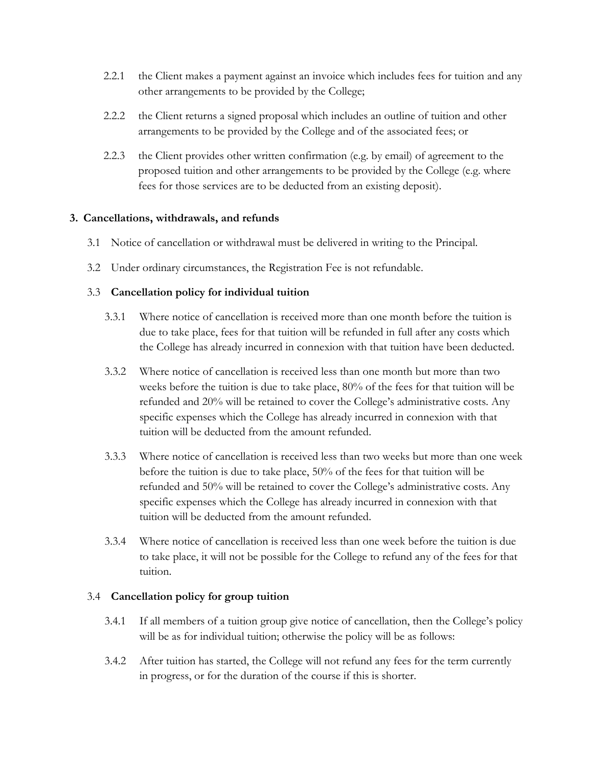- 2.2.1 the Client makes a payment against an invoice which includes fees for tuition and any other arrangements to be provided by the College;
- 2.2.2 the Client returns a signed proposal which includes an outline of tuition and other arrangements to be provided by the College and of the associated fees; or
- 2.2.3 the Client provides other written confirmation (e.g. by email) of agreement to the proposed tuition and other arrangements to be provided by the College (e.g. where fees for those services are to be deducted from an existing deposit).

#### **3. Cancellations, withdrawals, and refunds**

- 3.1 Notice of cancellation or withdrawal must be delivered in writing to the Principal.
- 3.2 Under ordinary circumstances, the Registration Fee is not refundable.

#### 3.3 **Cancellation policy for individual tuition**

- 3.3.1 Where notice of cancellation is received more than one month before the tuition is due to take place, fees for that tuition will be refunded in full after any costs which the College has already incurred in connexion with that tuition have been deducted.
- 3.3.2 Where notice of cancellation is received less than one month but more than two weeks before the tuition is due to take place, 80% of the fees for that tuition will be refunded and 20% will be retained to cover the College's administrative costs. Any specific expenses which the College has already incurred in connexion with that tuition will be deducted from the amount refunded.
- 3.3.3 Where notice of cancellation is received less than two weeks but more than one week before the tuition is due to take place, 50% of the fees for that tuition will be refunded and 50% will be retained to cover the College's administrative costs. Any specific expenses which the College has already incurred in connexion with that tuition will be deducted from the amount refunded.
- 3.3.4 Where notice of cancellation is received less than one week before the tuition is due to take place, it will not be possible for the College to refund any of the fees for that tuition.

# 3.4 **Cancellation policy for group tuition**

- 3.4.1 If all members of a tuition group give notice of cancellation, then the College's policy will be as for individual tuition; otherwise the policy will be as follows:
- 3.4.2 After tuition has started, the College will not refund any fees for the term currently in progress, or for the duration of the course if this is shorter.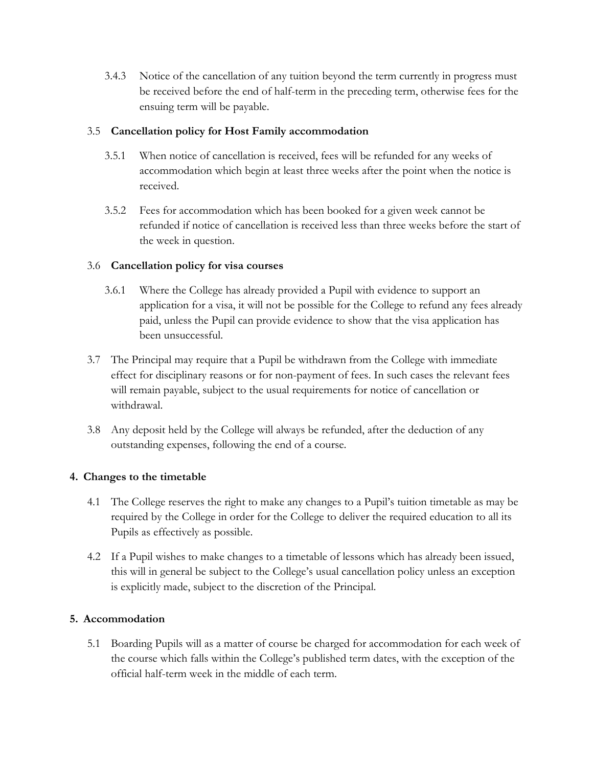3.4.3 Notice of the cancellation of any tuition beyond the term currently in progress must be received before the end of half-term in the preceding term, otherwise fees for the ensuing term will be payable.

## 3.5 **Cancellation policy for Host Family accommodation**

- 3.5.1 When notice of cancellation is received, fees will be refunded for any weeks of accommodation which begin at least three weeks after the point when the notice is received.
- 3.5.2 Fees for accommodation which has been booked for a given week cannot be refunded if notice of cancellation is received less than three weeks before the start of the week in question.

#### 3.6 **Cancellation policy for visa courses**

- 3.6.1 Where the College has already provided a Pupil with evidence to support an application for a visa, it will not be possible for the College to refund any fees already paid, unless the Pupil can provide evidence to show that the visa application has been unsuccessful.
- 3.7 The Principal may require that a Pupil be withdrawn from the College with immediate effect for disciplinary reasons or for non-payment of fees. In such cases the relevant fees will remain payable, subject to the usual requirements for notice of cancellation or withdrawal.
- 3.8 Any deposit held by the College will always be refunded, after the deduction of any outstanding expenses, following the end of a course.

# **4. Changes to the timetable**

- 4.1 The College reserves the right to make any changes to a Pupil's tuition timetable as may be required by the College in order for the College to deliver the required education to all its Pupils as effectively as possible.
- 4.2 If a Pupil wishes to make changes to a timetable of lessons which has already been issued, this will in general be subject to the College's usual cancellation policy unless an exception is explicitly made, subject to the discretion of the Principal.

#### **5. Accommodation**

5.1 Boarding Pupils will as a matter of course be charged for accommodation for each week of the course which falls within the College's published term dates, with the exception of the official half-term week in the middle of each term.